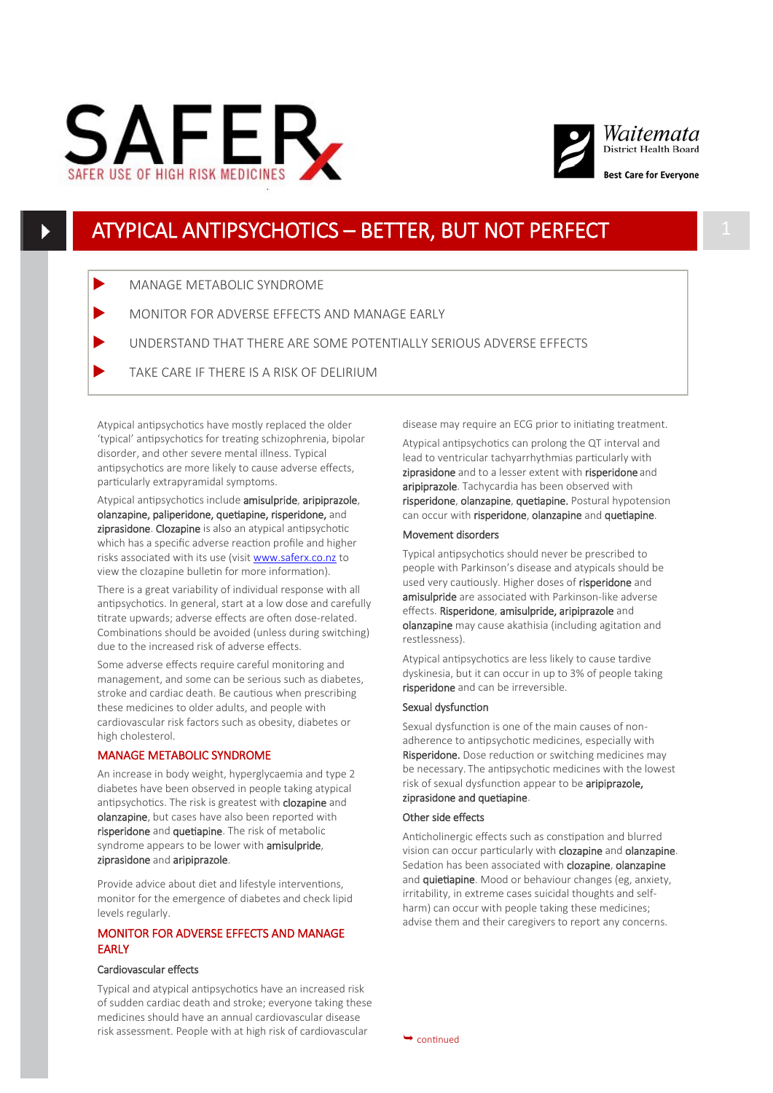



## ATYPICAL ANTIPSYCHOTICS – BETTER, BUT NOT PERFECT 1

- MANAGE METABOLIC SYNDROME
- MONITOR FOR ADVERSE EFFECTS AND MANAGE EARLY
- UNDERSTAND THAT THERE ARE SOME POTENTIALLY SERIOUS ADVERSE EFFECTS
- TAKE CARE IF THERE IS A RISK OF DELIRIUM

Atypical antipsychotics have mostly replaced the older 'typical' antipsychotics for treating schizophrenia, bipolar disorder, and other severe mental illness. Typical antipsychotics are more likely to cause adverse effects, particularly extrapyramidal symptoms.

Atypical antipsychotics include amisulpride, aripiprazole, olanzapine, paliperidone, quetiapine, risperidone, and ziprasidone. Clozapine is also an atypical antipsychotic which has a specific adverse reaction profile and higher risks associated with its use (visit [www.saferx.co.nz](http://www.saferx.co.nz) to view the clozapine bulletin for more information).

There is a great variability of individual response with all antipsychotics. In general, start at a low dose and carefully titrate upwards; adverse effects are often dose-related. Combinations should be avoided (unless during switching) due to the increased risk of adverse effects.

Some adverse effects require careful monitoring and management, and some can be serious such as diabetes, stroke and cardiac death. Be cautious when prescribing these medicines to older adults, and people with cardiovascular risk factors such as obesity, diabetes or high cholesterol.

### MANAGE METABOLIC SYNDROME

An increase in body weight, hyperglycaemia and type 2 diabetes have been observed in people taking atypical antipsychotics. The risk is greatest with **clozapine** and olanzapine, but cases have also been reported with risperidone and quetiapine. The risk of metabolic syndrome appears to be lower with **amisulpride**, ziprasidone and aripiprazole.

Provide advice about diet and lifestyle interventions, monitor for the emergence of diabetes and check lipid levels regularly.

## MONITOR FOR ADVERSE EFFECTS AND MANAGE **FARLY**

#### Cardiovascular effects

Typical and atypical antipsychotics have an increased risk of sudden cardiac death and stroke; everyone taking these medicines should have an annual cardiovascular disease risk assessment. People with at high risk of cardiovascular

disease may require an ECG prior to initiating treatment.

Atypical antipsychotics can prolong the QT interval and lead to ventricular tachyarrhythmias particularly with ziprasidone and to a lesser extent with risperidone and aripiprazole. Tachycardia has been observed with risperidone, olanzapine, quetiapine. Postural hypotension can occur with risperidone, olanzapine and quetiapine.

#### Movement disorders

Typical antipsychotics should never be prescribed to people with Parkinson's disease and atypicals should be used very cautiously. Higher doses of risperidone and amisulpride are associated with Parkinson-like adverse effects. Risperidone, amisulpride, aripiprazole and olanzapine may cause akathisia (including agitation and restlessness).

Atypical antipsychotics are less likely to cause tardive dyskinesia, but it can occur in up to 3% of people taking risperidone and can be irreversible.

## Sexual dysfunction

Sexual dysfunction is one of the main causes of nonadherence to antipsychotic medicines, especially with Risperidone. Dose reduction or switching medicines may be necessary. The antipsychotic medicines with the lowest risk of sexual dysfunction appear to be aripiprazole, ziprasidone and quetiapine.

#### Other side effects

Anticholinergic effects such as constipation and blurred vision can occur particularly with clozapine and olanzapine. Sedation has been associated with clozapine, olanzapine and **quietiapine**. Mood or behaviour changes (eg, anxiety, irritability, in extreme cases suicidal thoughts and selfharm) can occur with people taking these medicines; advise them and their caregivers to report any concerns.